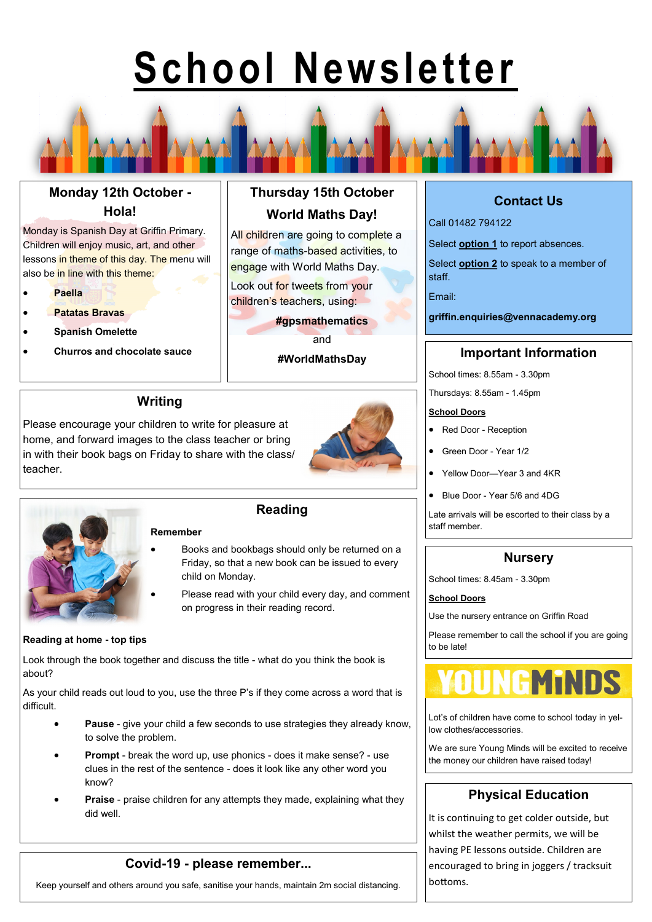# **School Newsletter**

# **Monday 12th October - Hola!**

Monday is Spanish Day at Griffin Primary. Children will enjoy music, art, and other lessons in theme of this day. The menu will also be in line with this theme:

- **Paella**
- **Patatas Bravas**
- **Spanish Omelette**
- 

# **Thursday 15th October World Maths Day!**

All children are going to complete a range of maths-based activities, to engage with World Maths Day.

Look out for tweets from your children's teachers, using:

#### **#gpsmathematics**

and

**#WorldMathsDay**

## **Writing**

Please encourage your children to write for pleasure at home, and forward images to the class teacher or bring in with their book bags on Friday to share with the class/ teacher.





### **Reading**

- Books and bookbags should only be returned on a Friday, so that a new book can be issued to every child on Monday.
- Please read with your child every day, and comment on progress in their reading record.

#### **Reading at home - top tips**

Look through the book together and discuss the title - what do you think the book is about?

As your child reads out loud to you, use the three P's if they come across a word that is difficult.

- **Pause**  give your child a few seconds to use strategies they already know, to solve the problem.
- **Prompt**  break the word up, use phonics does it make sense? use clues in the rest of the sentence - does it look like any other word you know?
- **Praise** praise children for any attempts they made, explaining what they did well.

## **Covid-19 - please remember...**

Keep yourself and others around you safe, sanitise your hands, maintain 2m social distancing.

# **Contact Us**

Call 01482 794122

Select **option 1** to report absences.

Select **option 2** to speak to a member of staff.

Email:

**griffin.enquiries@vennacademy.org**

## • **Churros and chocolate sauce Important Information**

School times: 8.55am - 3.30pm

Thursdays: 8.55am - 1.45pm

#### **School Doors**

- Red Door Reception
- Green Door Year 1/2
- Yellow Door—Year 3 and 4KR
- Blue Door Year 5/6 and 4DG

Late arrivals will be escorted to their class by a staff member.

## **Nursery**

School times: 8.45am - 3.30pm

#### **School Doors**

Use the nursery entrance on Griffin Road

Please remember to call the school if you are going to be late!



Lot's of children have come to school today in yellow clothes/accessories.

We are sure Young Minds will be excited to receive the money our children have raised today!

## **Physical Education**

It is continuing to get colder outside, but whilst the weather permits, we will be having PE lessons outside. Children are encouraged to bring in joggers / tracksuit bottoms.